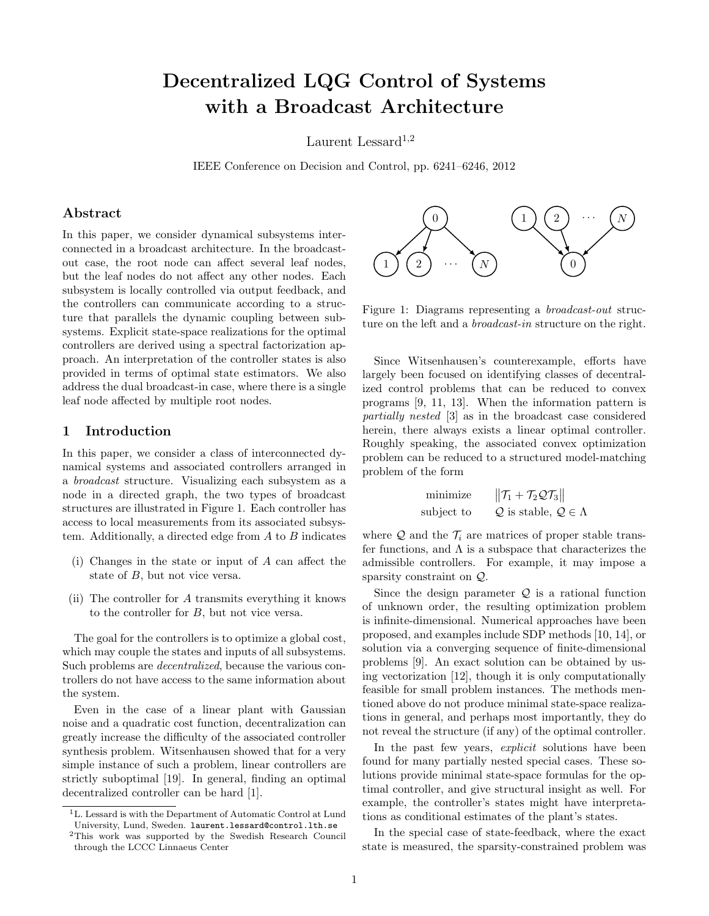# Decentralized LQG Control of Systems with a Broadcast Architecture

Laurent Lessard<sup>1,2</sup>

IEEE Conference on Decision and Control, pp. 6241–6246, 2012

# Abstract

In this paper, we consider dynamical subsystems interconnected in a broadcast architecture. In the broadcastout case, the root node can affect several leaf nodes, but the leaf nodes do not affect any other nodes. Each subsystem is locally controlled via output feedback, and the controllers can communicate according to a structure that parallels the dynamic coupling between subsystems. Explicit state-space realizations for the optimal controllers are derived using a spectral factorization approach. An interpretation of the controller states is also provided in terms of optimal state estimators. We also address the dual broadcast-in case, where there is a single leaf node affected by multiple root nodes.

# 1 Introduction

In this paper, we consider a class of interconnected dynamical systems and associated controllers arranged in a broadcast structure. Visualizing each subsystem as a node in a directed graph, the two types of broadcast structures are illustrated in Figure [1.](#page-0-0) Each controller has access to local measurements from its associated subsystem. Additionally, a directed edge from  $A$  to  $B$  indicates

- (i) Changes in the state or input of A can affect the state of B, but not vice versa.
- (ii) The controller for A transmits everything it knows to the controller for B, but not vice versa.

The goal for the controllers is to optimize a global cost, which may couple the states and inputs of all subsystems. Such problems are decentralized, because the various controllers do not have access to the same information about the system.

Even in the case of a linear plant with Gaussian noise and a quadratic cost function, decentralization can greatly increase the difficulty of the associated controller synthesis problem. Witsenhausen showed that for a very simple instance of such a problem, linear controllers are strictly suboptimal [\[19\]](#page-5-0). In general, finding an optimal decentralized controller can be hard [\[1\]](#page-5-1).



<span id="page-0-0"></span>Figure 1: Diagrams representing a broadcast-out structure on the left and a *broadcast-in* structure on the right.

Since Witsenhausen's counterexample, efforts have largely been focused on identifying classes of decentralized control problems that can be reduced to convex programs [\[9,](#page-5-2) [11,](#page-5-3) [13\]](#page-5-4). When the information pattern is partially nested [\[3\]](#page-5-5) as in the broadcast case considered herein, there always exists a linear optimal controller. Roughly speaking, the associated convex optimization problem can be reduced to a structured model-matching problem of the form

$$
\begin{array}{ll}\text{minimize} & \|\mathcal{T}_1 + \mathcal{T}_2 \mathcal{Q} \mathcal{T}_3\|\\ \text{subject to} & \mathcal{Q} \text{ is stable, } \mathcal{Q} \in \Lambda \end{array}
$$

where  $\mathcal Q$  and the  $\mathcal T_i$  are matrices of proper stable transfer functions, and  $\Lambda$  is a subspace that characterizes the admissible controllers. For example, it may impose a sparsity constraint on Q.

Since the design parameter  $Q$  is a rational function of unknown order, the resulting optimization problem is infinite-dimensional. Numerical approaches have been proposed, and examples include SDP methods [\[10,](#page-5-6) [14\]](#page-5-7), or solution via a converging sequence of finite-dimensional problems [\[9\]](#page-5-2). An exact solution can be obtained by using vectorization [\[12\]](#page-5-8), though it is only computationally feasible for small problem instances. The methods mentioned above do not produce minimal state-space realizations in general, and perhaps most importantly, they do not reveal the structure (if any) of the optimal controller.

In the past few years, *explicit* solutions have been found for many partially nested special cases. These solutions provide minimal state-space formulas for the optimal controller, and give structural insight as well. For example, the controller's states might have interpretations as conditional estimates of the plant's states.

In the special case of state-feedback, where the exact state is measured, the sparsity-constrained problem was

<sup>1</sup>L. Lessard is with the Department of Automatic Control at Lund University, Lund, Sweden. laurent.lessard@control.lth.se

<sup>2</sup>This work was supported by the Swedish Research Council through the LCCC Linnaeus Center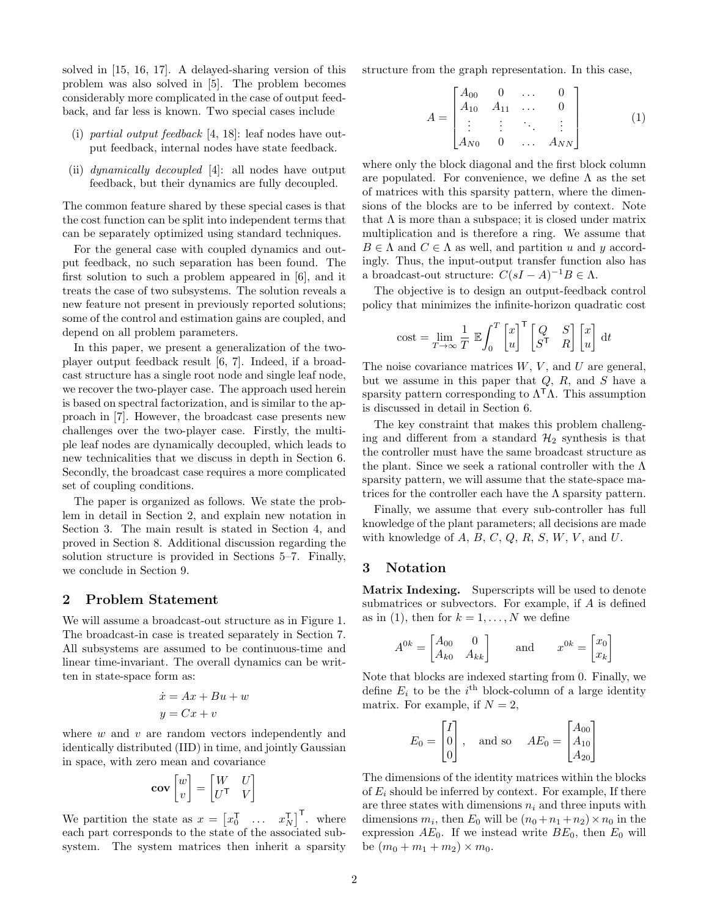solved in [\[15,](#page-5-9) [16,](#page-5-10) [17\]](#page-5-11). A delayed-sharing version of this problem was also solved in [\[5\]](#page-5-12). The problem becomes considerably more complicated in the case of output feedback, and far less is known. Two special cases include

- (i) partial output feedback [\[4,](#page-5-13) [18\]](#page-5-14): leaf nodes have output feedback, internal nodes have state feedback.
- (ii) dynamically decoupled [\[4\]](#page-5-13): all nodes have output feedback, but their dynamics are fully decoupled.

The common feature shared by these special cases is that the cost function can be split into independent terms that can be separately optimized using standard techniques.

For the general case with coupled dynamics and output feedback, no such separation has been found. The first solution to such a problem appeared in [\[6\]](#page-5-15), and it treats the case of two subsystems. The solution reveals a new feature not present in previously reported solutions; some of the control and estimation gains are coupled, and depend on all problem parameters.

In this paper, we present a generalization of the twoplayer output feedback result [\[6,](#page-5-15) [7\]](#page-5-16). Indeed, if a broadcast structure has a single root node and single leaf node, we recover the two-player case. The approach used herein is based on spectral factorization, and is similar to the approach in [\[7\]](#page-5-16). However, the broadcast case presents new challenges over the two-player case. Firstly, the multiple leaf nodes are dynamically decoupled, which leads to new technicalities that we discuss in depth in Section [6.](#page-3-0) Secondly, the broadcast case requires a more complicated set of coupling conditions.

The paper is organized as follows. We state the problem in detail in Section [2,](#page-1-0) and explain new notation in Section [3.](#page-1-1) The main result is stated in Section [4,](#page-2-0) and proved in Section [8.](#page-4-0) Additional discussion regarding the solution structure is provided in Sections [5](#page-2-1)[–7.](#page-3-1) Finally, we conclude in Section [9.](#page-5-17)

## <span id="page-1-0"></span>2 Problem Statement

We will assume a broadcast-out structure as in Figure [1.](#page-0-0) The broadcast-in case is treated separately in Section [7.](#page-3-1) All subsystems are assumed to be continuous-time and linear time-invariant. The overall dynamics can be written in state-space form as:

$$
\begin{aligned}\n\dot{x} &= Ax + Bu + w \\
y &= Cx + v\n\end{aligned}
$$

where  $w$  and  $v$  are random vectors independently and identically distributed (IID) in time, and jointly Gaussian in space, with zero mean and covariance

$$
\mathbf{cov}\begin{bmatrix} w \\ v \end{bmatrix} = \begin{bmatrix} W & U \\ U^{\mathsf{T}} & V \end{bmatrix}
$$

1

We partition the state as  $x = \begin{bmatrix} x_0^{\mathsf{T}} & \dots & x_N^{\mathsf{T}} \end{bmatrix}^{\mathsf{T}}$ . where each part corresponds to the state of the associated subsystem. The system matrices then inherit a sparsity structure from the graph representation. In this case,

<span id="page-1-2"></span>
$$
A = \begin{bmatrix} A_{00} & 0 & \dots & 0 \\ A_{10} & A_{11} & \dots & 0 \\ \vdots & \vdots & \ddots & \vdots \\ A_{N0} & 0 & \dots & A_{NN} \end{bmatrix}
$$
 (1)

where only the block diagonal and the first block column are populated. For convenience, we define  $\Lambda$  as the set of matrices with this sparsity pattern, where the dimensions of the blocks are to be inferred by context. Note that  $\Lambda$  is more than a subspace; it is closed under matrix multiplication and is therefore a ring. We assume that  $B \in \Lambda$  and  $C \in \Lambda$  as well, and partition u and y accordingly. Thus, the input-output transfer function also has a broadcast-out structure:  $C(sI - A)^{-1}B \in \Lambda$ .

The objective is to design an output-feedback control policy that minimizes the infinite-horizon quadratic cost

cost = 
$$
\lim_{T \to \infty} \frac{1}{T} \mathbb{E} \int_0^T \begin{bmatrix} x \\ u \end{bmatrix}^\mathsf{T} \begin{bmatrix} Q & S \\ S^\mathsf{T} & R \end{bmatrix} \begin{bmatrix} x \\ u \end{bmatrix} dt
$$

The noise covariance matrices  $W, V$ , and  $U$  are general, but we assume in this paper that  $Q$ ,  $R$ , and  $S$  have a sparsity pattern corresponding to  $\Lambda^T \Lambda$ . This assumption is discussed in detail in Section [6.](#page-3-0)

The key constraint that makes this problem challenging and different from a standard  $\mathcal{H}_2$  synthesis is that the controller must have the same broadcast structure as the plant. Since we seek a rational controller with the Λ sparsity pattern, we will assume that the state-space matrices for the controller each have the  $\Lambda$  sparsity pattern.

Finally, we assume that every sub-controller has full knowledge of the plant parameters; all decisions are made with knowledge of  $A, B, C, Q, R, S, W, V,$  and  $U$ .

## <span id="page-1-1"></span>3 Notation

Matrix Indexing. Superscripts will be used to denote submatrices or subvectors. For example, if A is defined as in [\(1\)](#page-1-2), then for  $k = 1, ..., N$  we define

$$
A^{0k} = \begin{bmatrix} A_{00} & 0 \\ A_{k0} & A_{kk} \end{bmatrix} \quad \text{and} \quad x^{0k} = \begin{bmatrix} x_0 \\ x_k \end{bmatrix}
$$

Note that blocks are indexed starting from 0. Finally, we define  $E_i$  to be the i<sup>th</sup> block-column of a large identity matrix. For example, if  $N = 2$ ,

$$
E_0 = \begin{bmatrix} I \\ 0 \\ 0 \end{bmatrix}, \quad \text{and so} \quad AE_0 = \begin{bmatrix} A_{00} \\ A_{10} \\ A_{20} \end{bmatrix}
$$

The dimensions of the identity matrices within the blocks of  $E_i$  should be inferred by context. For example, If there are three states with dimensions  $n_i$  and three inputs with dimensions  $m_i$ , then  $E_0$  will be  $(n_0 + n_1 + n_2) \times n_0$  in the expression  $AE_0$ . If we instead write  $BE_0$ , then  $E_0$  will be  $(m_0 + m_1 + m_2) \times m_0$ .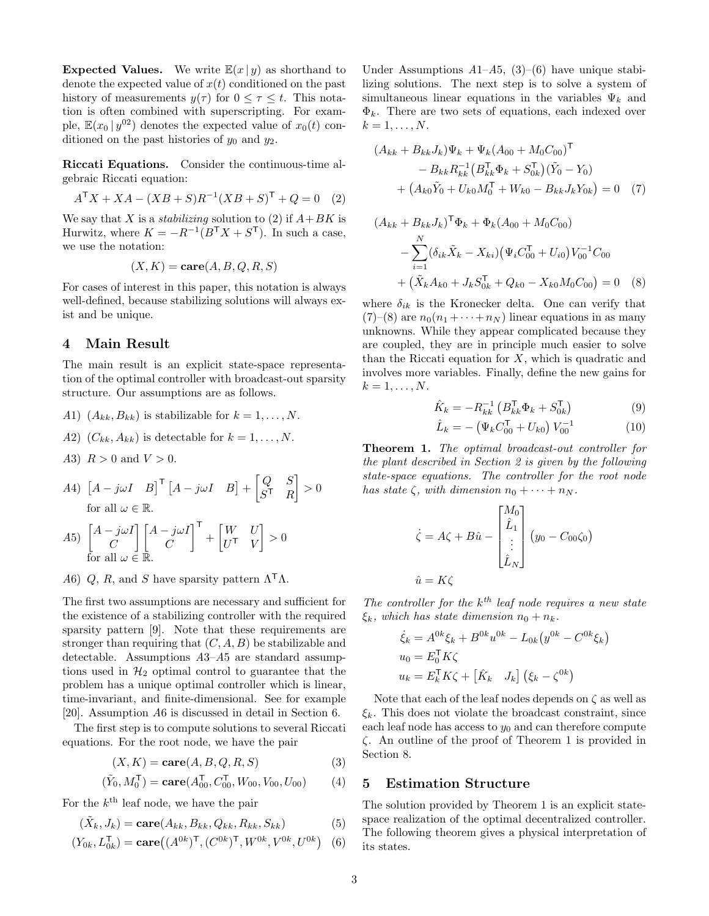**Expected Values.** We write  $\mathbb{E}(x | y)$  as shorthand to denote the expected value of  $x(t)$  conditioned on the past history of measurements  $y(\tau)$  for  $0 \leq \tau \leq t$ . This notation is often combined with superscripting. For example,  $\mathbb{E}(x_0 | y^{02})$  denotes the expected value of  $x_0(t)$  conditioned on the past histories of  $y_0$  and  $y_2$ .

Riccati Equations. Consider the continuous-time algebraic Riccati equation:

<span id="page-2-2"></span>
$$
A^{\mathsf{T}}X + XA - (XB + S)R^{-1}(XB + S)^{\mathsf{T}} + Q = 0 \quad (2)
$$

We say that X is a *stabilizing* solution to [\(2\)](#page-2-2) if  $A+BK$  is Hurwitz, where  $K = -R^{-1}(B^{\mathsf{T}}X + S^{\mathsf{T}})$ . In such a case, we use the notation:

$$
(X, K) = \mathbf{care}(A, B, Q, R, S)
$$

For cases of interest in this paper, this notation is always well-defined, because stabilizing solutions will always exist and be unique.

## <span id="page-2-0"></span>4 Main Result

The main result is an explicit state-space representation of the optimal controller with broadcast-out sparsity structure. Our assumptions are as follows.

- A1)  $(A_{kk}, B_{kk})$  is stabilizable for  $k = 1, \ldots, N$ .
- A2)  $(C_{kk}, A_{kk})$  is detectable for  $k = 1, \ldots, N$ .
- A3)  $R > 0$  and  $V > 0$ .
- A4)  $\begin{bmatrix} A j\omega I & B \end{bmatrix}^{\mathsf{T}} \begin{bmatrix} A j\omega I & B \end{bmatrix} + \begin{bmatrix} Q & S \\ cI & B \end{bmatrix}$  $S^{\mathsf{T}}$  R  $\Big] > 0$ for all  $\omega \in \mathbb{R}$ .

A5) 
$$
\begin{bmatrix} A - j\omega I \\ C \\ \text{for all } \omega \in \mathbb{R}. \end{bmatrix} \begin{bmatrix} A - j\omega I \\ C \end{bmatrix}^{\mathsf{T}} + \begin{bmatrix} W & U \\ U^{\mathsf{T}} & V \end{bmatrix} > 0
$$

A6) Q, R, and S have sparsity pattern  $\Lambda^{\mathsf{T}}\Lambda$ .

The first two assumptions are necessary and sufficient for the existence of a stabilizing controller with the required sparsity pattern [\[9\]](#page-5-2). Note that these requirements are stronger than requiring that  $(C, A, B)$  be stabilizable and detectable. Assumptions A3–A5 are standard assumptions used in  $\mathcal{H}_2$  optimal control to guarantee that the problem has a unique optimal controller which is linear, time-invariant, and finite-dimensional. See for example [\[20\]](#page-5-18). Assumption A6 is discussed in detail in Section [6.](#page-3-0)

The first step is to compute solutions to several Riccati equations. For the root node, we have the pair

$$
(X, K) = \mathbf{care}(A, B, Q, R, S) \tag{3}
$$

$$
(\tilde{Y}_0, M_0^{\mathsf{T}}) = \mathbf{care}(A_{00}^{\mathsf{T}}, C_{00}^{\mathsf{T}}, W_{00}, V_{00}, U_{00})
$$
(4)

For the  $k^{\text{th}}$  leaf node, we have the pair

$$
(\tilde{X}_k, J_k) = \mathbf{care}(A_{kk}, B_{kk}, Q_{kk}, R_{kk}, S_{kk})
$$
\n(5)

$$
(Y_{0k}, L_{0k}^{\mathsf{T}}) = \mathbf{care}((A^{0k})^{\mathsf{T}}, (C^{0k})^{\mathsf{T}}, W^{0k}, V^{0k}, U^{0k})
$$
 (6)

Under Assumptions  $A1-A5$ ,  $(3)-(6)$  $(3)-(6)$  have unique stabilizing solutions. The next step is to solve a system of simultaneous linear equations in the variables  $\Psi_k$  and  $\Phi_k$ . There are two sets of equations, each indexed over  $k=1,\ldots,N.$ 

<span id="page-2-5"></span>
$$
(A_{kk} + B_{kk}J_k)\Psi_k + \Psi_k(A_{00} + M_0C_{00})^{\mathsf{T}}
$$
  
-  $B_{kk}R_{kk}^{-1}(B_{kk}^{\mathsf{T}}\Phi_k + S_{0k}^{\mathsf{T}})(\tilde{Y}_0 - Y_0)$   
+  $(A_{k0}\tilde{Y}_0 + U_{k0}M_0^{\mathsf{T}} + W_{k0} - B_{kk}J_kY_{0k}) = 0$  (7)

$$
(A_{kk} + B_{kk}J_k)^{\mathsf{T}} \Phi_k + \Phi_k (A_{00} + M_0C_{00})
$$
  

$$
- \sum_{i=1}^N (\delta_{ik}\tilde{X}_k - X_{ki}) (\Psi_i C_{00}^{\mathsf{T}} + U_{i0}) V_{00}^{-1} C_{00}
$$
  

$$
+ (\tilde{X}_k A_{k0} + J_k S_{0k}^{\mathsf{T}} + Q_{k0} - X_{k0} M_0 C_{00}) = 0
$$
 (8)

where  $\delta_{ik}$  is the Kronecker delta. One can verify that  $(7)-(8)$  $(7)-(8)$  $(7)-(8)$  are  $n_0(n_1+\cdots+n_N)$  linear equations in as many unknowns. While they appear complicated because they are coupled, they are in principle much easier to solve than the Riccati equation for  $X$ , which is quadratic and involves more variables. Finally, define the new gains for  $k=1,\ldots,N.$ 

<span id="page-2-6"></span>
$$
\hat{K}_k = -R_{kk}^{-1} \left( B_{kk}^\mathsf{T} \Phi_k + S_{0k}^\mathsf{T} \right) \tag{9}
$$

<span id="page-2-9"></span>
$$
\hat{L}_k = -\left(\Psi_k C_{00}^\mathsf{T} + U_{k0}\right) V_{00}^{-1} \tag{10}
$$

<span id="page-2-7"></span>Theorem 1. The optimal broadcast-out controller for the plant described in Section [2](#page-1-0) is given by the following state-space equations. The controller for the root node has state  $\zeta$ , with dimension  $n_0 + \cdots + n_N$ .

$$
\dot{\zeta} = A\zeta + B\hat{u} - \begin{bmatrix} M_0 \\ \hat{L}_1 \\ \vdots \\ \hat{L}_N \end{bmatrix} (y_0 - C_{00}\zeta_0)
$$

$$
\hat{u} = K\zeta
$$

The controller for the  $k^{th}$  leaf node requires a new state  $\xi_k$ , which has state dimension  $n_0 + n_k$ .

$$
\dot{\xi}_k = A^{0k} \xi_k + B^{0k} u^{0k} - L_{0k} (y^{0k} - C^{0k} \xi_k)
$$
  
\n
$$
u_0 = E_0^{\mathsf{T}} K \zeta
$$
  
\n
$$
u_k = E_k^{\mathsf{T}} K \zeta + [\hat{K}_k \quad J_k] (\xi_k - \zeta^{0k})
$$

Note that each of the leaf nodes depends on  $\zeta$  as well as  $\xi_k$ . This does not violate the broadcast constraint, since each leaf node has access to  $y_0$  and can therefore compute ζ. An outline of the proof of Theorem [1](#page-2-7) is provided in Section [8.](#page-4-0)

#### <span id="page-2-8"></span><span id="page-2-3"></span><span id="page-2-1"></span>5 Estimation Structure

<span id="page-2-4"></span>The solution provided by Theorem [1](#page-2-7) is an explicit statespace realization of the optimal decentralized controller. The following theorem gives a physical interpretation of its states.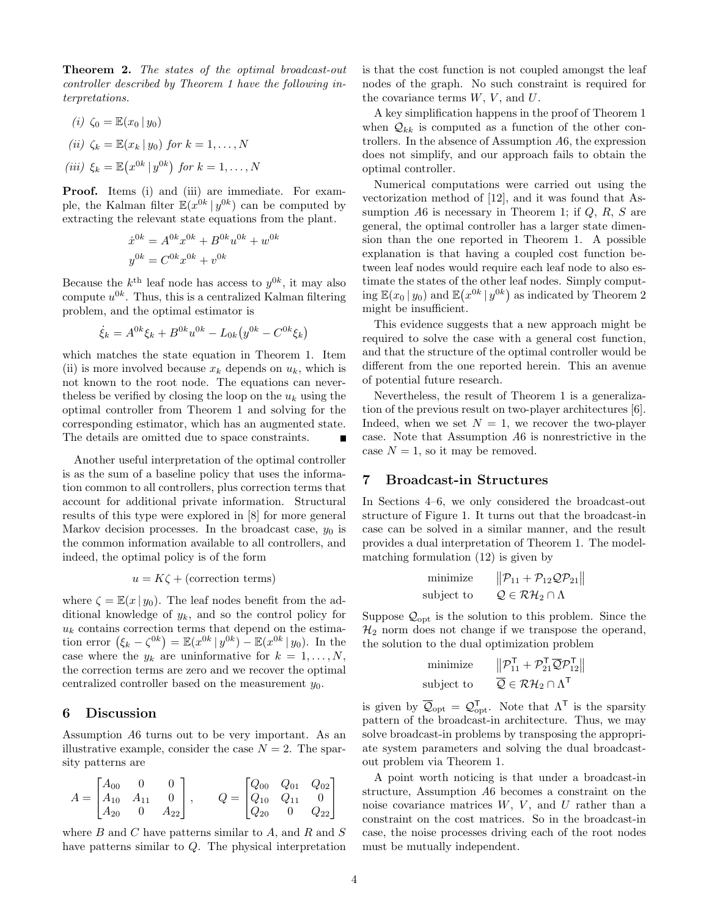<span id="page-3-2"></span>Theorem 2. The states of the optimal broadcast-out controller described by Theorem [1](#page-2-7) have the following interpretations.

(i) 
$$
\zeta_0 = \mathbb{E}(x_0 | y_0)
$$
  
\n(ii)  $\zeta_k = \mathbb{E}(x_k | y_0)$  for  $k = 1, ..., N$   
\n(iii)  $\xi_k = \mathbb{E}(x^{0k} | y^{0k})$  for  $k = 1, ..., N$ 

Proof. Items (i) and (iii) are immediate. For example, the Kalman filter  $\mathbb{E}(x^{0k} | y^{0k})$  can be computed by extracting the relevant state equations from the plant.

$$
\dot{x}^{0k} = A^{0k} x^{0k} + B^{0k} u^{0k} + w^{0k}
$$

$$
y^{0k} = C^{0k} x^{0k} + v^{0k}
$$

Because the  $k^{\text{th}}$  leaf node has access to  $y^{0k}$ , it may also compute  $u^{0k}$ . Thus, this is a centralized Kalman filtering problem, and the optimal estimator is

$$
\dot{\xi}_k = A^{0k} \xi_k + B^{0k} u^{0k} - L_{0k} (y^{0k} - C^{0k} \xi_k)
$$

which matches the state equation in Theorem [1.](#page-2-7) Item (ii) is more involved because  $x_k$  depends on  $u_k$ , which is not known to the root node. The equations can neverthe less be verified by closing the loop on the  $u_k$  using the optimal controller from Theorem [1](#page-2-7) and solving for the corresponding estimator, which has an augmented state. The details are omitted due to space constraints.

Another useful interpretation of the optimal controller is as the sum of a baseline policy that uses the information common to all controllers, plus correction terms that account for additional private information. Structural results of this type were explored in [\[8\]](#page-5-19) for more general Markov decision processes. In the broadcast case,  $y_0$  is the common information available to all controllers, and indeed, the optimal policy is of the form

$$
u = K\zeta + \text{(correction terms)}
$$

where  $\zeta = \mathbb{E}(x \mid y_0)$ . The leaf nodes benefit from the additional knowledge of  $y_k$ , and so the control policy for  $u_k$  contains correction terms that depend on the estimation error  $(\xi_k - \zeta^{0k}) = \mathbb{E}(x^{0k} | y^{0k}) - \mathbb{E}(x^{0k} | y_0)$ . In the case where the  $y_k$  are uninformative for  $k = 1, \ldots, N$ , the correction terms are zero and we recover the optimal centralized controller based on the measurement  $y_0$ .

# <span id="page-3-0"></span>6 Discussion

Assumption A6 turns out to be very important. As an illustrative example, consider the case  $N = 2$ . The sparsity patterns are

$$
A = \begin{bmatrix} A_{00} & 0 & 0 \\ A_{10} & A_{11} & 0 \\ A_{20} & 0 & A_{22} \end{bmatrix}, \qquad Q = \begin{bmatrix} Q_{00} & Q_{01} & Q_{02} \\ Q_{10} & Q_{11} & 0 \\ Q_{20} & 0 & Q_{22} \end{bmatrix}
$$

where  $B$  and  $C$  have patterns similar to  $A$ , and  $R$  and  $S$ have patterns similar to Q. The physical interpretation

is that the cost function is not coupled amongst the leaf nodes of the graph. No such constraint is required for the covariance terms  $W, V$ , and  $U$ .

A key simplification happens in the proof of Theorem [1](#page-2-7) when  $\mathcal{Q}_{kk}$  is computed as a function of the other controllers. In the absence of Assumption A6, the expression does not simplify, and our approach fails to obtain the optimal controller.

Numerical computations were carried out using the vectorization method of [\[12\]](#page-5-8), and it was found that Assumption  $A6$  is necessary in Theorem [1;](#page-2-7) if  $Q, R, S$  are general, the optimal controller has a larger state dimension than the one reported in Theorem [1.](#page-2-7) A possible explanation is that having a coupled cost function between leaf nodes would require each leaf node to also estimate the states of the other leaf nodes. Simply computing  $\mathbb{E}(x_0 | y_0)$  and  $\mathbb{E}(x^{0k} | y^{0k})$  as indicated by Theorem [2](#page-3-2) might be insufficient.

This evidence suggests that a new approach might be required to solve the case with a general cost function, and that the structure of the optimal controller would be different from the one reported herein. This an avenue of potential future research.

Nevertheless, the result of Theorem [1](#page-2-7) is a generalization of the previous result on two-player architectures [\[6\]](#page-5-15). Indeed, when we set  $N = 1$ , we recover the two-player case. Note that Assumption A6 is nonrestrictive in the case  $N = 1$ , so it may be removed.

# <span id="page-3-1"></span>7 Broadcast-in Structures

In Sections [4](#page-2-0)[–6,](#page-3-0) we only considered the broadcast-out structure of Figure [1.](#page-0-0) It turns out that the broadcast-in case can be solved in a similar manner, and the result provides a dual interpretation of Theorem [1.](#page-2-7) The modelmatching formulation [\(12\)](#page-4-1) is given by

$$
\begin{array}{ll}\text{minimize} & \left\| \mathcal{P}_{11} + \mathcal{P}_{12} \mathcal{Q} \mathcal{P}_{21} \right\| \\ \text{subject to} & \mathcal{Q} \in \mathcal{RH}_2 \cap \Lambda \end{array}
$$

Suppose  $\mathcal{Q}_{opt}$  is the solution to this problem. Since the  $\mathcal{H}_2$  norm does not change if we transpose the operand, the solution to the dual optimization problem

$$
\begin{array}{ll}\text{minimize} & \left\| \mathcal{P}_{11}^{\mathsf{T}} + \mathcal{P}_{21}^{\mathsf{T}} \overline{\mathcal{Q}} \mathcal{P}_{12}^{\mathsf{T}} \right\|\\ \text{subject to} & \overline{\mathcal{Q}} \in \mathcal{RH}_2 \cap \Lambda^{\mathsf{T}}\end{array}
$$

is given by  $\overline{\mathcal{Q}}_{opt} = \mathcal{Q}_{opt}^{\mathsf{T}}$ . Note that  $\Lambda^{\mathsf{T}}$  is the sparsity pattern of the broadcast-in architecture. Thus, we may solve broadcast-in problems by transposing the appropriate system parameters and solving the dual broadcastout problem via Theorem [1.](#page-2-7)

A point worth noticing is that under a broadcast-in structure, Assumption A6 becomes a constraint on the noise covariance matrices  $W, V,$  and  $U$  rather than a constraint on the cost matrices. So in the broadcast-in case, the noise processes driving each of the root nodes must be mutually independent.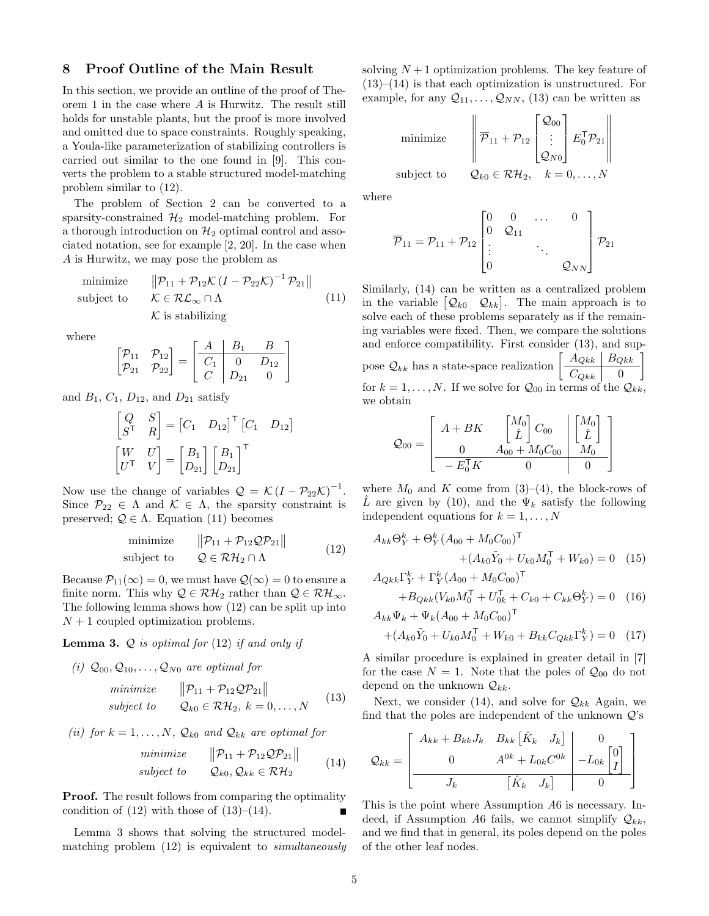## <span id="page-4-0"></span>8 Proof Outline of the Main Result

In this section, we provide an outline of the proof of Theorem [1](#page-2-7) in the case where A is Hurwitz. The result still holds for unstable plants, but the proof is more involved and omitted due to space constraints. Roughly speaking, a Youla-like parameterization of stabilizing controllers is carried out similar to the one found in [\[9\]](#page-5-2). This converts the problem to a stable structured model-matching problem similar to [\(12\)](#page-4-1).

The problem of Section [2](#page-1-0) can be converted to a sparsity-constrained  $\mathcal{H}_2$  model-matching problem. For a thorough introduction on  $\mathcal{H}_2$  optimal control and associated notation, see for example [\[2,](#page-5-20) [20\]](#page-5-18). In the case when A is Hurwitz, we may pose the problem as

<span id="page-4-2"></span>minimize  $||\mathcal{P}_{11} + \mathcal{P}_{12} \mathcal{K} (I - \mathcal{P}_{22} \mathcal{K})^{-1} \mathcal{P}_{21}||$ subject to  $\mathcal{K} \in \mathcal{RL}_{\infty} \cap \Lambda$  $K$  is stabilizing (11)

where

$$
\begin{bmatrix} \mathcal{P}_{11} & \mathcal{P}_{12} \\ \mathcal{P}_{21} & \mathcal{P}_{22} \end{bmatrix} = \begin{bmatrix} A & B_1 & B \\ \hline C_1 & 0 & D_{12} \\ C & D_{21} & 0 \end{bmatrix}
$$

and  $B_1$ ,  $C_1$ ,  $D_{12}$ , and  $D_{21}$  satisfy

$$
\begin{bmatrix} Q & S \\ S^{\mathsf{T}} & R \end{bmatrix} = \begin{bmatrix} C_1 & D_{12} \end{bmatrix}^{\mathsf{T}} \begin{bmatrix} C_1 & D_{12} \end{bmatrix}
$$
\n
$$
\begin{bmatrix} W & U \\ U^{\mathsf{T}} & V \end{bmatrix} = \begin{bmatrix} B_1 \\ D_{21} \end{bmatrix} \begin{bmatrix} B_1 \\ D_{21} \end{bmatrix}^{\mathsf{T}}
$$

Now use the change of variables  $\mathcal{Q} = \mathcal{K} (I - \mathcal{P}_{22} \mathcal{K})^{-1}$ . Since  $\mathcal{P}_{22} \in \Lambda$  and  $\mathcal{K} \in \Lambda$ , the sparsity constraint is preserved;  $\mathcal{Q} \in \Lambda$ . Equation [\(11\)](#page-4-2) becomes

<span id="page-4-1"></span>
$$
\begin{array}{ll}\text{minimize} & \|\mathcal{P}_{11} + \mathcal{P}_{12}\mathcal{Q}\mathcal{P}_{21}\|\\ \text{subject to} & \mathcal{Q} \in \mathcal{RH}_2 \cap \Lambda \end{array} \tag{12}
$$

Because  $\mathcal{P}_{11}(\infty) = 0$ , we must have  $\mathcal{Q}(\infty) = 0$  to ensure a finite norm. This why  $\mathcal{Q} \in \mathcal{RH}_2$  rather than  $\mathcal{Q} \in \mathcal{RH}_{\infty}$ . The following lemma shows how [\(12\)](#page-4-1) can be split up into  $N+1$  coupled optimization problems.

<span id="page-4-5"></span>**Lemma 3.**  $Q$  is optimal for [\(12\)](#page-4-1) if and only if

(i)  $\mathcal{Q}_{00}, \mathcal{Q}_{10}, \ldots, \mathcal{Q}_{N0}$  are optimal for

<span id="page-4-3"></span>
$$
\begin{array}{ll}\n\text{minimize} & \|\mathcal{P}_{11} + \mathcal{P}_{12} \mathcal{Q} \mathcal{P}_{21}\| \\
\text{subject to} & \mathcal{Q}_{k0} \in \mathcal{RH}_2, \ k = 0, \dots, N\n\end{array} \tag{13}
$$

(ii) for  $k = 1, ..., N$ ,  $\mathcal{Q}_{k0}$  and  $\mathcal{Q}_{kk}$  are optimal for

<span id="page-4-4"></span>
$$
\begin{array}{ll}\n\text{minimize} & \|\mathcal{P}_{11} + \mathcal{P}_{12} \mathcal{Q} \mathcal{P}_{21}\| \\
\text{subject to} & \mathcal{Q}_{k0}, \mathcal{Q}_{kk} \in \mathcal{RH}_2\n\end{array} \tag{14}
$$

**Proof.** The result follows from comparing the optimality condition of  $(12)$  with those of  $(13)–(14)$  $(13)–(14)$ .

Lemma [3](#page-4-5) shows that solving the structured modelmatching problem [\(12\)](#page-4-1) is equivalent to simultaneously solving  $N+1$  optimization problems. The key feature of  $(13)–(14)$  $(13)–(14)$  $(13)–(14)$  is that each optimization is unstructured. For example, for any  $\mathcal{Q}_{11}, \ldots, \mathcal{Q}_{NN}$ , [\(13\)](#page-4-3) can be written as

minimize  
subject to  

$$
\begin{bmatrix} \overline{\mathcal{P}}_{11} + \mathcal{P}_{12} \begin{bmatrix} \mathcal{Q}_{00} \\ \vdots \\ \mathcal{Q}_{N0} \end{bmatrix} E_0^T \mathcal{P}_{21} \end{bmatrix}
$$

$$
\text{subject to} \qquad \mathcal{Q}_{k0} \in \mathcal{RH}_2, \quad k = 0, \dots, N
$$

where

minimize

$$
\overline{\mathcal{P}}_{11} = \mathcal{P}_{11} + \mathcal{P}_{12} \begin{bmatrix} 0 & 0 & \dots & 0 \\ 0 & \mathcal{Q}_{11} & & \\ \vdots & & \ddots & \\ 0 & & & \mathcal{Q}_{NN} \end{bmatrix} \mathcal{P}_{21}
$$

Similarly, [\(14\)](#page-4-4) can be written as a centralized problem in the variable  $[Q_{k0} Q_{kk}]$ . The main approach is to solve each of these problems separately as if the remaining variables were fixed. Then, we compare the solutions and enforce compatibility. First consider [\(13\)](#page-4-3), and suppose  $\mathcal{Q}_{kk}$  has a state-space realization  $\begin{bmatrix} A_{Qkk} & B_{Qkk} \end{bmatrix}$  $C_{Qkk}$  | 0 1 for  $k = 1, ..., N$ . If we solve for  $\mathcal{Q}_{00}$  in terms of the  $\mathcal{Q}_{kk}$ , we obtain

$$
Q_{00} = \begin{bmatrix} A + BK & \begin{bmatrix} M_0 \\ \hat{L} \end{bmatrix} C_{00} & \begin{bmatrix} M_0 \\ \hat{L} \end{bmatrix} \\ \hline & -E_0^{\mathsf{T}} K & 0 & 0 \end{bmatrix}
$$

where  $M_0$  and K come from [\(3\)](#page-2-3)–[\(4\)](#page-2-8), the block-rows of L are given by [\(10\)](#page-2-9), and the  $\Psi_k$  satisfy the following independent equations for  $k = 1, \ldots, N$ 

<span id="page-4-6"></span>
$$
A_{kk}\Theta_Y^k + \Theta_Y^k (A_{00} + M_0 C_{00})^{\mathsf{T}} + (A_{k0}\tilde{Y}_0 + U_{k0}M_0^{\mathsf{T}} + W_{k0}) = 0 \quad (15)
$$

$$
A_{Qkk}\Gamma_Y^k + \Gamma_Y^k (A_{00} + M_0 C_{00})^{\mathsf{T}}
$$
  
+
$$
B_{Qkk}(V_{k0}M_0^{\mathsf{T}} + U_{0k}^{\mathsf{T}} + C_{k0} + C_{kk}\Theta_Y^k) = 0
$$
 (16)

<span id="page-4-7"></span>
$$
A_{kk}\Psi_k + \Psi_k (A_{00} + M_0 C_{00})^{\mathsf{T}}
$$
  
+  $(A_{k0}\tilde{Y}_0 + U_{k0}M_0^{\mathsf{T}} + W_{k0} + B_{kk}C_{Qkk}\Gamma_Y^k) = 0$  (17)

A similar procedure is explained in greater detail in [\[7\]](#page-5-16) for the case  $N = 1$ . Note that the poles of  $\mathcal{Q}_{00}$  do not depend on the unknown  $\mathcal{Q}_{kk}$ .

Next, we consider [\(14\)](#page-4-4), and solve for  $\mathcal{Q}_{kk}$  Again, we find that the poles are independent of the unknown  $Q$ 's

$$
Q_{kk} = \begin{bmatrix} A_{kk} + B_{kk}J_k & B_{kk} \begin{bmatrix} \hat{K}_k & J_k \end{bmatrix} & 0 \\ 0 & A^{0k} + L_{0k}C^{0k} & -L_{0k} \begin{bmatrix} 0 \\ I \end{bmatrix} \\ \hline J_k & \begin{bmatrix} \hat{K}_k & J_k \end{bmatrix} & 0 \end{bmatrix}
$$

This is the point where Assumption A6 is necessary. Indeed, if Assumption A6 fails, we cannot simplify  $\mathcal{Q}_{kk}$ , and we find that in general, its poles depend on the poles of the other leaf nodes.